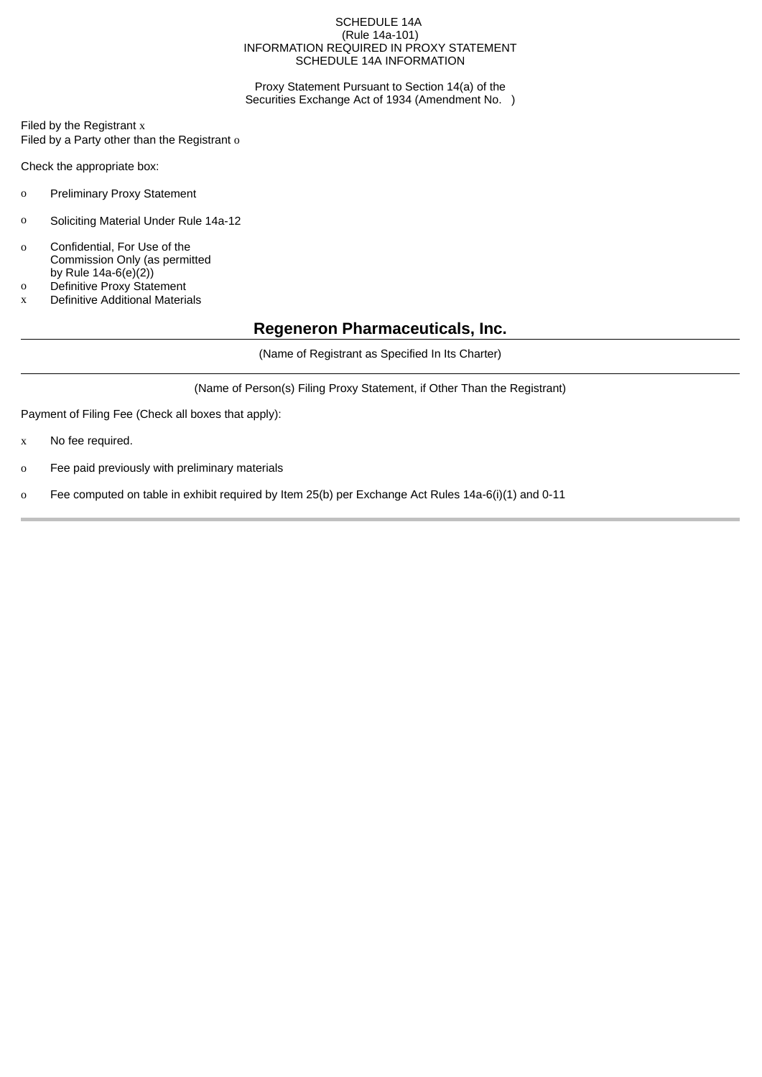#### SCHEDULE 14A (Rule 14a-101) INFORMATION REQUIRED IN PROXY STATEMENT SCHEDULE 14A INFORMATION

Proxy Statement Pursuant to Section 14(a) of the Securities Exchange Act of 1934 (Amendment No. )

Filed by the Registrant x Filed by a Party other than the Registrant o

Check the appropriate box:

- o Preliminary Proxy Statement
- o Soliciting Material Under Rule 14a-12
- o Confidential, For Use of the Commission Only (as permitted by Rule  $14a-6(e)(2)$
- o Definitive Proxy Statement
- x Definitive Additional Materials

## **Regeneron Pharmaceuticals, Inc.**

(Name of Registrant as Specified In Its Charter)

(Name of Person(s) Filing Proxy Statement, if Other Than the Registrant)

Payment of Filing Fee (Check all boxes that apply):

- x No fee required.
- o Fee paid previously with preliminary materials
- o Fee computed on table in exhibit required by Item 25(b) per Exchange Act Rules 14a-6(i)(1) and 0-11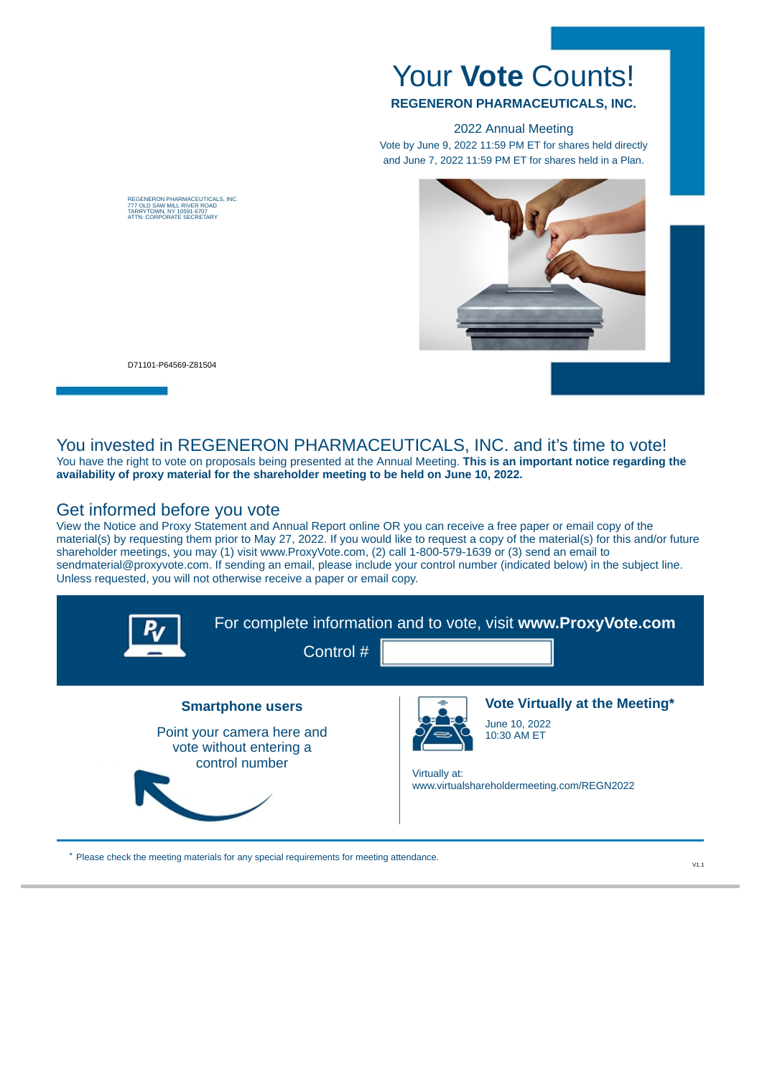# Your **Vote** Counts!

#### **REGENERON PHARMACEUTICALS, INC.**

2022 Annual Meeting

Vote by June 9, 2022 11:59 PM ET for shares held directly and June 7, 2022 11:59 PM ET for shares held in a Plan.



D71101-P64569-Z81504

REGENERON PHARMACEUTICALS, INC.<br>777 OLD SAW MILL RIVER ROAD<br>TARRYTOWN, NY 10591-6707<br>ATTN: CORPORATE SECRETARY

# You invested in REGENERON PHARMACEUTICALS, INC. and it's time to vote!

You have the right to vote on proposals being presented at the Annual Meeting. **This is an important notice regarding the availability of proxy material for the shareholder meeting to be held on June 10, 2022.**

## Get informed before you vote

View the Notice and Proxy Statement and Annual Report online OR you can receive a free paper or email copy of the material(s) by requesting them prior to May 27, 2022. If you would like to request a copy of the material(s) for this and/or future shareholder meetings, you may (1) visit www.ProxyVote.com, (2) call 1-800-579-1639 or (3) send an email to sendmaterial@proxyvote.com. If sending an email, please include your control number (indicated below) in the subject line. Unless requested, you will not otherwise receive a paper or email copy.

| Control #                                                                                          | For complete information and to vote, visit www.ProxyVote.com                                                                 |
|----------------------------------------------------------------------------------------------------|-------------------------------------------------------------------------------------------------------------------------------|
| <b>Smartphone users</b><br>Point your camera here and<br>vote without entering a<br>control number | Vote Virtually at the Meeting*<br>June 10, 2022<br>10:30 AM ET<br>Virtually at:<br>www.virtualshareholdermeeting.com/REGN2022 |

\* Please check the meeting materials for any special requirements for meeting attendance.

 $V1.1$